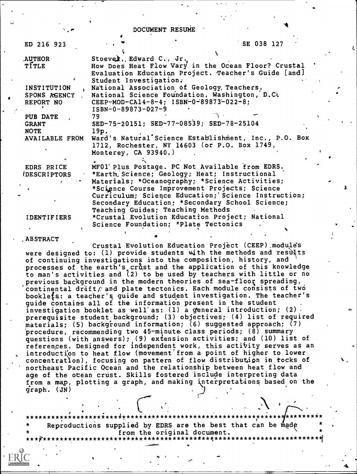DOCUMENT RESUME

| ED 216 923                                                |                                                   | SE 038 127                                                                                                                                                                                                                                                                                                                                        |  |
|-----------------------------------------------------------|---------------------------------------------------|---------------------------------------------------------------------------------------------------------------------------------------------------------------------------------------------------------------------------------------------------------------------------------------------------------------------------------------------------|--|
| <b>AUTHOR</b><br>TÍTLE                                    | Stoever, Edward C., Jr.<br>Student Investigation. | How Does Heat Flow Vary in the Ocean Floor? Crustal<br>Evaluation Education Project. Teacher's Guide [and]                                                                                                                                                                                                                                        |  |
| <b>INSTITUTION</b><br>SPONS AGENCY<br>REPORT NO           | $ISBN-0-89873-027-9$                              | National Association of Geology, Teachers.<br>National Science Foundation, Washington, D.C.<br>CEEP-MOD-CA14-8-4; ISBN-0-89873-022-8;                                                                                                                                                                                                             |  |
| PUB DATE<br><b>GRANT</b><br><b>NOTE</b><br>AVAILABLE FROM | 79<br>19p.<br>Monterey, $CA$ 93940.)              | SED-75-20151; SED-77-08539; SED-78-25104<br>Ward's Natural Science Establishment, Inc., P.O. Box<br>1712, Rochester, NY 14603 (or P.O. Box 1749,                                                                                                                                                                                                  |  |
| EDRS PRICE<br><i><b>IDESCRIPTORS</b></i>                  |                                                   | MF01 Plus Postage. PC Not Available from EDRS.<br>*Earth, Science; Geology; Heat; Instructional<br>Materials; *Oceanography; *Science Activities;<br>*Science Course Improvement Projects; Science<br>Curriculum; Science Education; Science Instruction;<br>Secondary Education; *Secondary School Science;<br>Teaching Guides; Teaching Methods |  |
| <b>IDENTIFIERS</b>                                        |                                                   | *Crustal Evolution Education Project; National<br>Science Foundation: *Plate Tectonics                                                                                                                                                                                                                                                            |  |

#### .ABSTRACT

Crustal Evolution Education Project (CEEP).module's were designed to: (1) provide students with the methods and results of continuing investigations into the composition, history, and processes of the earth's crust and the application of this knowledge to man's activities and  $(2)$  to be used by teachers with little or no previous background in the modern theories of sea-floor spreading, continental drift $\rho$  and plate tectonics. Each module consists of two booklefs: a teacher'q guide and student investigation. The teacher's guide contains all of the information present in the student  $\ldots$  investigation booklet as well as: (1) a general introduction; (2). prerequisite student background; (3) objectives; (4) list of required materials; (5) background information; (6) suggested approach; (7) procedure, recommending two 45-minute. class periods; (8) summary questions (with answers); (9) extension activities; and (10) list of referenges. Designed for independent work, this activity serves as an introduction to heat flow (movement from a point of higher to lower concentration), focusing on pattern of flow distribution in rocks of northeast Pacific Ocean and the relationship between heat flow and age of the ocean crust. Skills fostered include interpreting data from a map, plotting a graph, and making interpretations based on the graph. (JN)

k

\*\*\*\*\*\*\*\*\*\*\*\*\*\*\*\*\*\*;\*\*\*4\*\*\*\*\*\*\*\*\*\*\*\*\*\*\*\*\*\*\*\*\*.\*\*\*\*\*\*\*\*\*\*\*\*;\*\*\* \*\*\*\*\*\*\*i\* Reproductions supplied by EDRS are the best that can be made from the original document. \*\*\*p\*\*\*\*\*\*\*\*\*\*\*\*\*\*\*\*\*\*\*\*\*\*\*\*\*\*\*\*\*\*\*\*\*\*\*\*\*\*\*\*t\*\*\*\*\*\*\*\*\*\*\*\*\*\*\*\*\*\*\*\*\*\*\*\*\*1

 $\mathbf{F}$  and  $\mathbf{F}$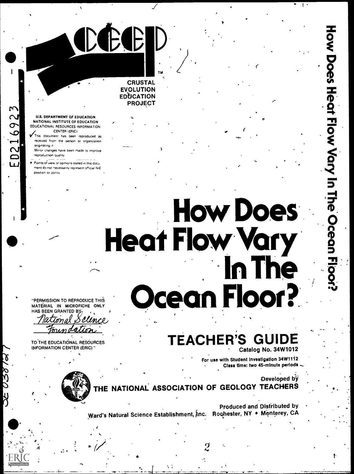### **CRUSTAL EVOLUTION EDUCATION PROJECT**

CEC

#### **U.S. DEPARTMENT OF EDUCATION** NATIONAL INSTITUTE OF EDUCATION **EDUCATIONAL RESOURCES INFORMATION** CENTER (ERIC)

ED216923

- This document has been reproduced as received from the person or organization originating it
- Minor changes have been made to improve reproduction quality
- Points of view or opinions stated in this docu ment do not necessarily represent official NIE position or policy

# **How Does Heat Flow Vary** In The ean Floor?

"PERMISSION TO REPRODUCE THIS MATERIAL IN MICROFICHE ONLY HAS BEEN GRANTED BY

 $l$ lmr $\epsilon$ 

TO THE EDUCATIONAL RESOURCES **INFORMATION CENTER (ERIC)** "

## **TEACHER'S GUIDE**

Catalog No. 34W1012

For use with Student Investigation 34W1112 Class time: two 45-minute periods

Developed by THE NATIONAL ASSOCIATION OF GEOLOGY TEACHERS

**Produced and Distributed by** 

Ward's Natural Science Establishment, Inc. Rochester, NY . Monterey, CA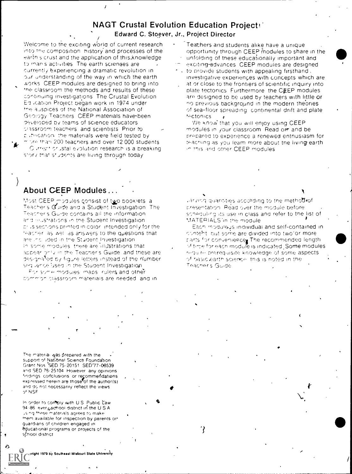### **NAGT Crustal Evolution Education Projects**

Edward C. Stoever, Jr., Project Director

Welcome to the exciting world of current research into the composition, history and processes of the earth's crust and the application of this knowledge to man's activities. The earth sciences are currently experiencing a dramatic revolution in our understanding of the way in which the earth works. CEEP modules are designed to bring into the classroom the methods and results of these continuing investigations. The Crustal Evolution Ed ication Project began work in 1974 under the auspices of the National Association of Geology Teachers, CEEP materials have been developed by teams of science educators. classroom teachers, and scientists. Prior to publication, the materials were field tested by tional than 200 teachers and over 12,000 students. Current orustal evolution research is a breaking story that students are living through today

- Teachers and students alike have a unique opportunity through CEEP modules to share in the unfolding of these educationally important and
- exciting-advances. CEEP modules are designed. to provide students with appealing firsthand.
- investigative experiences with concepts which are at or close to the frontiers of scientific inquiry into plate tectonics. Furthermore, the CEEP modules are designed to be used by teachers with little or no previous background in the modern theories. of sea-floor spreading continental drift and plate tectonics

We know that you will enjoy using CEEP modules in your classroom. Read or and be prepared to experience a renewed enthusiasm for teaching as you learn more about the living earth. in this and other CEEP modules

### About CEEP Modules...

Most CEEP modules consist of two booklets a Teacher's Guide and a Student Investigation. The Teacher's Guide contains all the information and inustrations in the Student Investigation prus sections printed in color, intended only for the teacher as well as answers to the questions that are included in the Student Investigation in some modules, there are illustrations that appear only in the Teacher's Guide, and these are designa<sup>t</sup>ed by figure letters instead of the number sequence used in the Student Investigation.

For some modules, maps, rulers and other common classroom materials are needed, and in varying quantities according to the method of presentation. Read over the module before scheduling its use in class and refer to the list of MATERIALS in the module

Each moduleus individual and self-contained in content, but some are divided into two or more rarts for conveniencer The recommended length of time for each module is indicated. Some modules require prerequisite knowledge of some aspects of basic earth science, this is noted in the Teacher's Guide

?

The material was prepared with the support of National Science Foundation. Grant Nos SED 75-20151 SED'77-08539 and SED 78-25104. However, any opinions findings: conclusions or recommendations<br>expressed herein are those of the author(s) and do not necessarily reflect the views of NSF

In order to comply with U.S. Public Caw 94-86 ever<sub>A</sub>school district in the U.S.A. using these materials agrees to make them available for inspection by parents or guardians of children engaged in educational programs or projects of the school district

ght 1979 by Southeast Missouri State University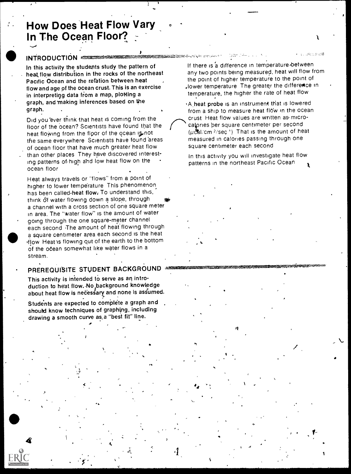### How Does Heat Flow Vary In The Ocean Floor?

### INTRODUCTION <del>CONTRACTORY AND INTEREST</del>

In this activity the students study the pattern of heat flow distribution in the rocks of the northeast Pacific Ocean and the relation between heat flow and age of the ocean crust. This is an exercise in interpreting data from a map, plotting a graph, and 'making inferences based on the graph.

Did you 'ever think that heat is coming from the floor of the ocean? Scientists have found that the heat flowing from the floor of the ocean is not the same everywhere Scientists have found 'areas of ocean floor that have much greater heat flow than other places They have discovered interesting patterns of -high and low heat flow on the ocean floor

Heat always travels or "flows" from a point of higher to lower tempe'rature This phenomenon has been called-heat flow. To understand this, think of water flowing down a slope, through a channel with a cross section of one square meter in area. The "water flow" is the amount of water going through the one square-meter channel each second The amount of heat flowing through a square centimeter area each second is the heat 'flow Heat'is flowing out of the earth to the bottom of the ocean somewhat like water flows in a stream.

### PREREQUISITE STUDENT BACKGROUND

This activity is intended to serve as an introduction to heat flow. No background knowledge about heat flow is necessary and none is assumed.

Students are expected to complete a graph and should know techniques of graphing, including drawing a smooth curve as,a "best fit" line.

 $\mathbf{A}$   $\mathbf{A}$   $\mathbf{A}$ 

If there is a difference in temperature between any two points being measured, heat will flow from the point of higher temperature to the point of .lower temperature The greater the difference in temperature, the higher the rate of heat flow

ミニシェズ

 $\circ$   $\qquad$ 

sA,heat probe is an instrument that is lowered from a ship to measure heat flow in the ocean crust Heat flow values are written as microcalories ber square centimeter per second  $(\mu$ chl/cm <sup>2</sup>/sec ') That is the amount of heat measured in calories passing through one square centimeter each second

In this activity you will investigate heat flow patterns in the northeast Pacific Ocean

44.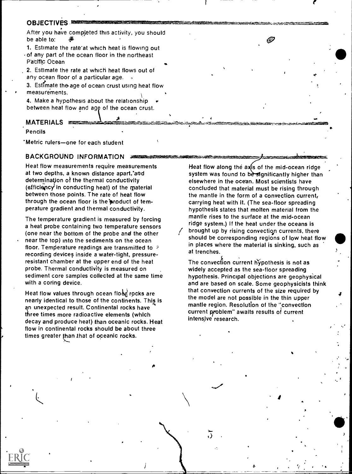### **OBJECTIVES**

After you have compjeted this activity, you should be able to:

1. Estimate the rate at which heat is flowing out of any part of the ocean floor in the northeast Pacific Ocean

2. Estimate the rate at which heat flows out of any ocean floor of a particular age.  $\sim$ 

3. Estimate the age of ocean crust using heat flow measurements.

4. Make a hypothesis about the relationship between heat flow and agg of the ocean crust.

### MATERIALS ESSENTING

Pencils

Metric rulers—one for each student

### BACKGROUND INFORMATION 2002020

Heat flow measurements require measurements at two depths, a known distance apart, and determination of the thermal conductivity  $($ efficiency in conducting heat) of the material between those points. The rate of heat flow through the ocean floor is the product of temperature gradient and thermal conductivity.

The temperature gradient is measured by forcing a heat probe containing two temperature sensors (one near the bottom of the probe and the other near the top) into the sediments on the ocean floor. Temperature readings are transmitted to recording devices inside a water-tight, pressureresistant chamber at the upper end of the heat probe. Thermal conductivity is measured on sediment core samples collected at the same time with a coring device.

Heat flow values through ocean flood rocks are nearly identical to those of the continents. This is an unexpected result. Continental rocks have three times more radioactive elements (which decay and produce heat) than oceanic rocks. Heat flow in continental rocks should be about three times greater than that of oceanic rocks.

Heat flow along the  $a$ xis of the mid-ocean ridge system was found to be significantly higher than elsewhere in the ocean. Most scientists have concluded that material must be rising through the mantle in the form of a convection current, carrying heat with it. (The sea-floor spreading hypothesis states that molten material from the mantle rises to the surface at the mid-ocean ridge system.) If the heat under the oceans is brought up by rising convectiop currents, there should be corresponding regions of low heat flow in places where the material is sinking, such as at trenches.

G)

The convection current hypothesis is not as widely accepted as the sea-floor spreading hypothesis. Principal objections are geophysical and are based on scale. Some geophysicists think that convection currents of the size required by the model are not possible in the thin upper mantle region. Resolution of the "convection current problem" awaits results of current intensjve' research.

**a** and the set

I

 $2 \times 2 \times 2$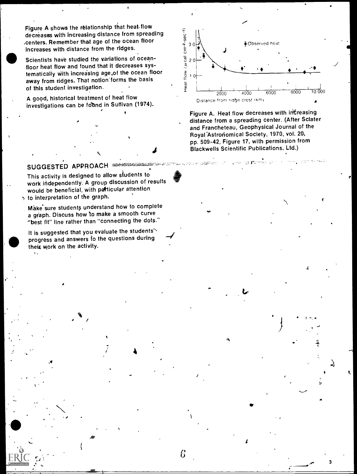decreases with increasing distance from spreading ,centers. Remember that age of the ocean floor increases with distance from the ridges.

Figure A shows the relationship that heat.flow<br>decreases with increasing distance from spreading<br>centers. Remember that age of the ocean floor<br>increases with distance from the ridges.<br>Scientists have studied the variation Scientists have studied the variations of oceanfloor heat flow and found that it decreases systematically With increasing age.of the ocean floor away from ridges. That notion'forms the basis of this student investigation.

A good, historical treatment of heat flow investigations can be found in Sullivan (1974).



pp. 303-42, Tigure 17, White permission from<br>Blackwells Scientific Publications, Ltd.) Figure A. Heat flow decreases with increasing distance from a spreading center. (After Sclater and Francheteau, Geophysical Journal of the Royal 'Astroriomical Society, 1970, vol. 20, pp. 509-42, Figure 17, with permission from

 $\bullet$  such that  $\bullet$ 

.....

 $\mathcal{L}$  .

lj

3

 $-1$ 

### SUGGESTED APPROACH

This activity is designed to allow students to work independently. A group discussion of results would be beneficial, with patlicular attention to interpretation of the graph.

Make sure students understand how to complete a graph. Discuss how to make a smooth curve "best fit" line rather than "connecting the dots."

It is suggested that you evaluate the students's<br>progress and answers to the questions during a graph. Discuss how to make a smooth curve<br>"best fit" line rather than "connecting the dots."<br>It is suggested that you evaluate the students'<br>progress and answers to the questions during their work on the activity.

6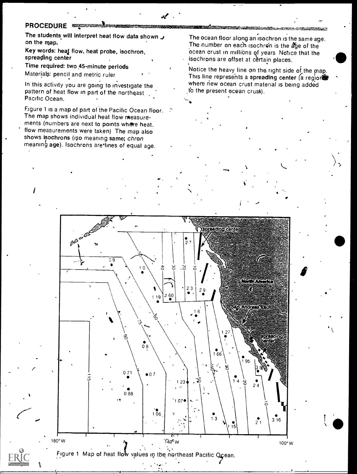### PROCEDURE <del>sex and sexual</del>

I a shekara

and by ERIC

The students will interpret heat flow data shown on the map.

Key words: heat flow, heat probe, isochron, spreading center

Time required: two 45-minute periods Materials: pencil and metric ruler

In this activity you are going to investigate the pattern of heat flow in part of the northeast Pacific Ocean.

Figure 1 is a map of part of the Pacific Ocean floor. The map shows individual heat flow measurements (numbers are next to points where heat, flow measurements were taken) The map also shows isochrons (iso meaning same; chron  $meaning$  age). Isochrons are lines of equal age.

The ocean floor along an isochron is the same age. The number on each isochron is the age of the ocean crust in millions of years Notice that the isochrons are offset at certain places.

Notice the heavy line on the right side of the  $map$ . This line represents a spreading center  $(a \text{ region})$ where new ocean crust material is being added to the present ocean crust).

t



Figure 1 Map of heat flow values in the northeast Pacific Ocean.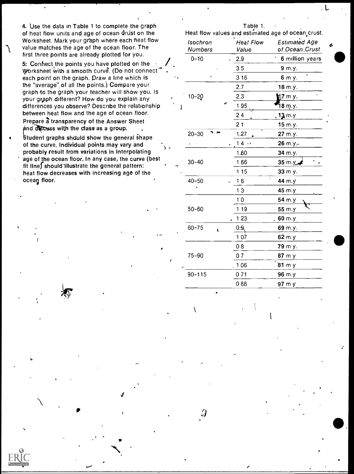4. Use the data in Table 1 to complete the graph Table 1.<br>
of heat flow units and age of ocean drust on the Heat flow values and estimate of heat flow units and age of ocean drust on the Heat flow values and estimated age of ocean crust.<br>Worksheet. Mark your graph where each heat flow section is the Heat Flow Fstimated Age value matches the age of the ocean floor. The<br>first three points are already plotted for you.

5: Conhect the points you have plotted on the Worksheet with a smooth curve. (Do not connect each point on the graph. Draw a line which is the "average", of all the points.) Compare your graph to the graph your teacher will show you. Is your graph different? How do you explain any differences you observe? Describe the relationship between heat flow and the age of ocean floor. Prepare a transparency of the Answer Sheet  $\rho$  and  $\overline{d}$   $\overline{d}$   $\overline{c}$  as with the class as a group.

Student graphs should show the general shape of the curve. Individual points may vary and probably result from variations in interpolating age of the ocean floor. In any case, the curve (best fit lines should illustrate the general pattern: heat flow decreases with increasing age of the ocean floor.

'141 in 141

d by ERIC

. L

|   | Isochron<br><b>Numbers</b> | <b>Heat Flow</b><br>Value | <b>Estimated Age</b><br>of Ocean Crust | Ó. |
|---|----------------------------|---------------------------|----------------------------------------|----|
|   | $0 - 10$                   | 2.9                       | 6 million years                        |    |
|   |                            | 35                        | 9 m.y.                                 |    |
|   |                            | 3 1 6                     | 6 m y.                                 |    |
|   |                            | 2.7                       | 18 m.y.                                |    |
|   | $10 - 20$                  | 2.3                       | $17 \text{ m}$ y.                      |    |
| ì |                            | 195                       | ້18 m.y.                               |    |
|   |                            | 24                        | <b>. 13</b> m.y                        |    |
|   |                            | 21                        | 15 m.y.                                |    |
|   | $20 - 30$                  | 1.27                      | 27 m.y.                                |    |
|   |                            | 14.                       | 26 m.y.                                |    |
|   |                            | 1.60                      | 34 m.y.                                |    |
|   | $30 - 40$                  | 166                       | 35 m.y                                 |    |
|   |                            | 1 15                      | 33 m y.                                |    |
|   | $40 - 50$                  | 16                        | 44 m.y                                 |    |
|   |                            | 13                        | 45 m.y                                 |    |
|   |                            | 10                        | 54 m.y                                 |    |
|   | $50 - 60$                  | 119                       | 55 m.y                                 |    |
|   |                            | 1 23                      | 60 m.y                                 |    |
|   | $60 - 75$<br>t             | 9.9                       | 69 m.y.                                |    |
|   |                            | 107                       | 62 m.y                                 |    |
|   |                            | 08                        | 79 m y.                                |    |
|   | 75-90                      | 07                        | 87 m y                                 |    |
|   |                            | 106                       | $81 \, m y$                            |    |
|   | $90 - 115$                 | 071                       | 96 m.y                                 |    |
|   |                            | 088                       | 97 m y                                 |    |
|   |                            |                           |                                        |    |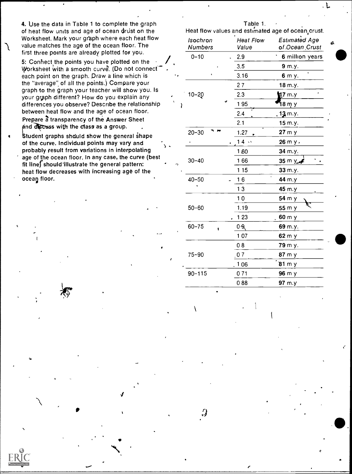4. Use the data in Table 1 to complete the graph  $\blacksquare$  Table 1. of heat flow units and age of ocean Ortist on the Heat flow values and estimated age of ocean crust. Worksheet. Mark your graph where each heat flow value matches the age of the ocean floor. The first three points are already plotted for you.

5: Connect the points you have plotted on the  $\rightarrow$ Worksheet with a smooth curve. (Do not connect each point on the graph. Draw a line which is the "average" of all the points.) Compare your. graph to the graph your teacher will show you. Is your graph different? How do you explain any differences you observe? Describe the relationship between heat flow and the age of ocean floor. Prepare a transparency of the Answer Sheet  $\rho$  and  $d$  scass with the class as a group.

Student graphs should show the general shape of the curve. Individual points may vary and probably result from variations in interpolating age of the ocean floor. In any case, the curve (best fit line) should illustrate the general pattern: heat flow decreases with increasing age of the ocean floor.

 $\boldsymbol{J}$  and the set of  $\boldsymbol{J}$ 

e

ed by ERIC

1..

|   | Isochron<br>Numbers | <b>Heat Flow</b><br>Value | <b>Estimated Age</b><br>of Ocean Crust |  |  |  |
|---|---------------------|---------------------------|----------------------------------------|--|--|--|
|   | $0 - 10$            | 2.9                       | 6 million years                        |  |  |  |
|   |                     | 3.5                       | 9 m.y.                                 |  |  |  |
|   |                     | 3.16                      | 6 m y.                                 |  |  |  |
|   |                     | 27                        | 18 m.y.                                |  |  |  |
| ì | $10 - 20$           | 2.3                       | ,<br>17 m y                            |  |  |  |
|   |                     | 195                       | ។8 m y                                 |  |  |  |
|   |                     | 2.4                       | $13$ m.y.                              |  |  |  |
|   |                     | 2.1                       | 15 m.y.                                |  |  |  |
|   | $20 - 30$           | 1.27                      | 27 m y                                 |  |  |  |
|   |                     | 14.                       | 26 m y.                                |  |  |  |
|   |                     | 160                       | 34 m.y.                                |  |  |  |
|   | $30 - 40$           | 166                       | 35 m y                                 |  |  |  |
|   |                     | 1 15                      | 33 m.y.                                |  |  |  |
|   | $40 - 50$           | 16                        | 44 m.y                                 |  |  |  |
|   |                     | 13                        | 45 m.y                                 |  |  |  |
|   |                     | 10                        | 54 m y                                 |  |  |  |
|   | $50 - 60$           | 1.19                      | 55 m y                                 |  |  |  |
|   |                     | 1 2 3                     | 60 m y                                 |  |  |  |
|   | $60 - 75$<br>t      | $0 - \theta$              | 69 m.y.                                |  |  |  |
|   |                     | 107                       | 62 m y                                 |  |  |  |
|   |                     | 08                        | 79 m y.                                |  |  |  |
|   | $75 - 90$           | 07                        | 87 m y                                 |  |  |  |
|   |                     | 106                       | 81 m y                                 |  |  |  |
|   | $90 - 115$          | 071                       | 96 m y                                 |  |  |  |
|   |                     | 088                       | 97 m.y                                 |  |  |  |
|   |                     |                           |                                        |  |  |  |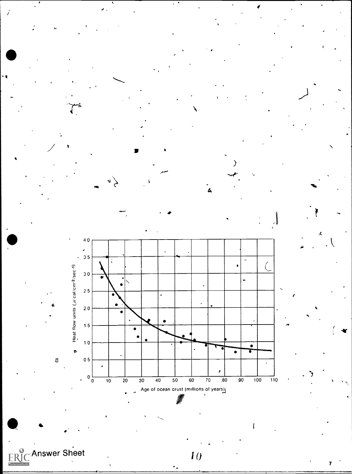

**ERIC** Answer Sheet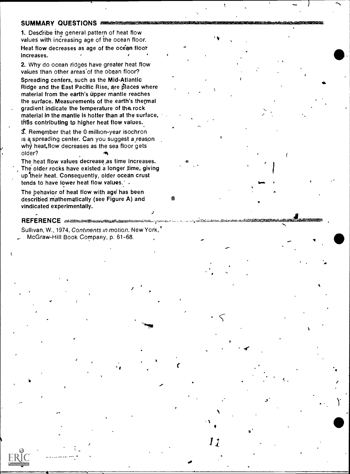### SUMMARY QUESTIONS SUMMARY

1. Describe the general pattern of heat flow values with increasing age of the ocean floor. Heat flow decreases as age of the ocean floor increases.

2. Why do ocean ridges have greater heat flow values than other areas' of the ocean floor? Spreading centers, such as the Mid-Atlantic Ridge and the East Pacific Rise, are places where material from the earth's upper mantle reaches the surface. Measurements of the earth's thermal gradient indicate the temperature of the rock material in the mantle is hotter than at the surface, thus contributing to higher heat flow values.

T. Remember that the 0 million-year isochron is a spreading center. Can you suggest a reason  $w$ h heat, flow decreases as the sea floor gets older?

The heat flow values decrease as time increases. The older rocks have existed a longer time, giving up their heat. Consequently, older ocean crust tends to have lower heat flow values. : .

The behavior of heat flow with age has been described mathematically (see Figure A) and vindicated experimentally.

### REFERENCE ANDERSONS

ed by ERIC

Sullivan, W., 1974, Continents in motion. New York,' McGraw-Hill Book Company, p. 61-68.

.4

 $\blacksquare$ 

r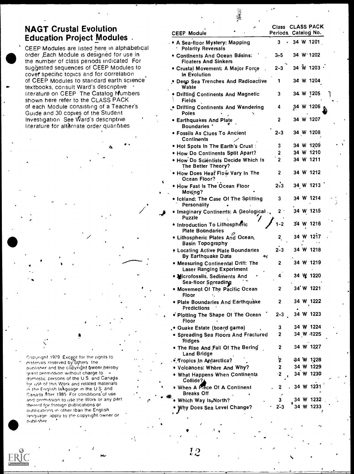### NAGT Crustal Evolution Education Project Modules .

CEEP Modules are listed here in alphabetical order Each Module is designed for use in the number of class periods indicated For suggested sequences of CEEP Modules to cover specific topics and for correlation of CEEP Modules to standard earth science textbooks, consult Ward's descriptive . literature on CEEP The Catalog Numbers shown here refer to the CLASS PACK of each Module consisting of a Teacher's Guide and 30 copies of the Student Investigation See Ward's descriptive literature for altornate order quantities

Copyright 1979. Except for the rights to  $\mathcal{L}_{\alpha}$ materials reserved by others the punlisher and the copyright owner hereby  $\hspace{2cm}$ grant permission without charge to domestic persons of the U S and Canada for use of this Work and related materials the English laNguage in the U S and Canada After 1985 For conditions.of use and pormission to use the Work or any part thereof for foreign publications or nuhlications in other than the English language apply to the copyright owner or notal4er

Wu-

| <b>CEEP Module</b>                                                    | z, | Class CLASS PACK<br>Periods, Catalog No. |           |                             |  |
|-----------------------------------------------------------------------|----|------------------------------------------|-----------|-----------------------------|--|
| • A Sea-floor Mystery: Mapping<br><b>Polarity Reversals</b>           |    | 3<br>$\bullet$                           | 34 W 1201 |                             |  |
| • Continents And Ocean Básins:<br><b>Floaters And Sinkers</b>         |    | $3-5$                                    | 34 W 1202 |                             |  |
| · Crustal Movement: A Major Force<br>In Evolution                     |    | $2 - 3$                                  |           | $34 \text{ W}$ 1203 $\cdot$ |  |
| . Deep Sea Trenches And Radioactive<br>Waste                          |    | 1                                        | 34 W 1204 |                             |  |
| · Drifting Continents And Magnetic<br>Fields                          |    | 3                                        | 34 W 1205 |                             |  |
| . Drifting Continents And Wandering<br>Poles                          |    | 4                                        | 34 W 1206 |                             |  |
| <b>• Earthquakes And Plate</b><br><b>Boundaries *</b>                 |    | 2                                        | 34 W 1207 |                             |  |
| • Fossils As Clues To Ancient<br>Continents                           |    | 2-3                                      | 34 W 1208 |                             |  |
| • Hot Spots In The Earth's Crust                                      |    | 3                                        | 34 W 1209 |                             |  |
| . How Do Continents Split Apart?                                      |    | 2                                        | 34 W 1210 |                             |  |
| · How Do Scientists Decide Which Is<br>The Better Theory?             |    | $\overline{2}$                           | 34 W 1211 |                             |  |
| . How Does Heat Flow Vary In The<br>Ocean Floor?                      |    | 2                                        | 34 W 1212 |                             |  |
| • How Fast Is The Ocean Floor<br>Moving?                              |    | 2:3                                      | 34 W 1213 |                             |  |
| . Iceland: The Case Of The Splitting<br>Personality                   |    | 3                                        | 34 W 1214 |                             |  |
| . Imaginary Continents: A Geological<br>Puzzle                        |    | 2 `                                      | 34 W 1215 |                             |  |
| · Introduction To Lithospheric<br><b>Plate Boundaries</b>             |    | $1 - 2$                                  | 34 W 1216 |                             |  |
| • Lithospheric Plates And Ocean,<br><b>Basin Topography</b>           |    | 2 <sub>a</sub>                           | 34 W 1217 |                             |  |
| . Locating Active Plate Boundaries<br>By Earthquake Data              | ₩  | $2 - 3$                                  | 34 W 1218 |                             |  |
| • Measuring Continental Drift: The<br><b>Laser Ranging Experiment</b> |    | $\overline{2}$                           | 34 W 1219 |                             |  |
| • Nicrofossils, Sediments And<br>Sea-floor Spreading                  |    | 4                                        | 34 W 1220 |                             |  |
| • Movement Of The Pacific Ocean<br>Floor                              |    | 2                                        | 34`W 1221 |                             |  |
| · Plate Boundaries And Earthquake<br><b>Predictions</b>               |    | 2                                        | 34 W 1222 |                             |  |
| • Plotting The Shape Of The Ocean<br>Floor                            |    | $2 - 3$                                  | 34 W 1223 |                             |  |
| . Quake Estate (board game)                                           |    | 3                                        | 34 W 1224 |                             |  |
| • Spreading Sea Floors And Fractured<br><b>Ridges</b>                 |    | 2                                        | 34 W 4225 |                             |  |
| . The Rise And Fall Of The Bering<br><b>Land Bridge</b>               |    | 2                                        | 34 W 1227 |                             |  |
| . • Tropics In Antarctica?                                            |    | þ                                        | 34 W 1228 |                             |  |
| . Volcanoes: Where And Why?                                           |    | 2                                        | 34 W 1229 |                             |  |
| . What Happens When Continents<br>Collide?                            |    | - 2                                      | 34 W 1230 |                             |  |
| • When A Plece Of A Continent<br><b>Breaks Off</b>                    |    | 2                                        | 34 W 1231 |                             |  |
| Which Way Is, North?                                                  |    | 3                                        | 34 W 1232 |                             |  |
| Why Does Sea Level Change?                                            |    | $2 - 3$                                  | 34 W 1233 |                             |  |

 $\mathcal{A}$ 

藁寨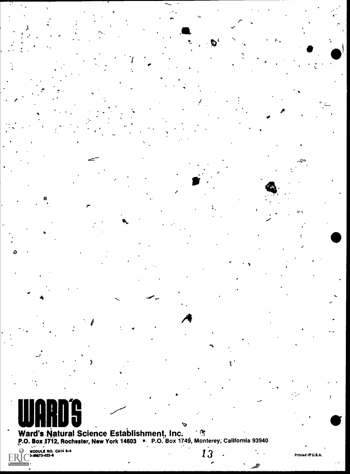

Ward's Natural Science Establishment, Inc. 38<br>P.O. Box 1712, Rochester, New York 14603 . P.O. Box 1749, Monterey, California 93940

١Ţ.

13

**I by ERIC**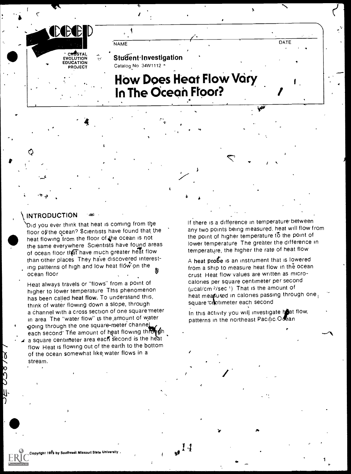

### **INTRODUCTION**

 $\mathbf{L}$  and  $\mathbf{L}$ 

 $\mathbf{r}$  and  $\mathbf{r}$ 

\Did you ever think that heat is coming from the floor of the ocean? Scientists have found that, the heat flowing from the floor of the ocean is not the same everywhere Scientists have found areas of ocean floor that have much greater heat flow than other places. They have discovered interesting patterns of high and low heat flow on the ocean floor

Heat always travels or "flows" from a point of higher to lower temperature This phenomenon has been called heat flow. To understand this, think of water flowing down a slope, through a channel with a cross section of one square meter in area The "water flow" ts the amount of water going through the one square-meter channel each second' The amount of heat flowing through a square centimeter area each second is the heat

flow Heat is flowing out of the earth to the bottom of the ocean somewhat like, water flows in a stream.

If there is a difference in temperature-between any two points being measured, heat will flow from the point of higher temperature to the point of lower temperature The greater the difference in temperature, the higher the rate of heat flow

 $\lambda$ 

A heat probe is an instrument that is lowered from a ship to measure heat flow in the ocean crust Heat flow values are written as microcalories per square centimeter per second  $(\mu$ cal/cm  $2/$ sec ') That is the amount of heat meaßured in calories passing through one, square 'cantimeter each second

Pt.

In this activity you will investigate heat flow. patterns in the northeast Pacific.Ocan

 $1.1$ 

4

opyright 1979 by Southeast Missouri State University.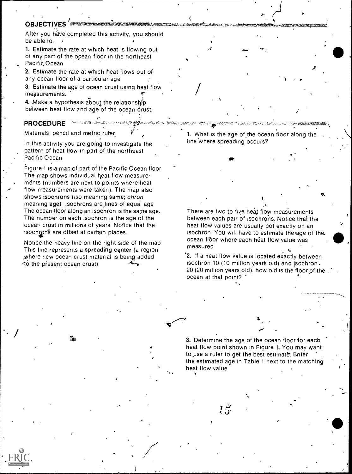### OBJECTIVES <del>EXAMPLE AND STR</del>

After you have completed this activity, you should be able to.  $\sim$ 

1. Estimate the rate at which heat is flowing out of any part of the ocean floor in the northeast Pacific. Ocean

2. Estimate the rate at which heat flows out of any ocean floor of a particular age

3. Estimate the age of ocean crust using heat flow measurements.

4. Make a hypothesis about the relationship between heat flow and age of the ocean crust.

### PROCEDURE For a strategy and a strategy strategy of the PROCEDURE

**2** by ERIC

Materials, pencil and metric ruler.

In this activity you are going to investigate the pattern of heat flow in part of the northeast Pacific Ocean

Figure 1 is a map of part of the Pacific Ocean floor The map shows individual heat flow measurements (numbers are next to points where heat flow measurements were taken). The map also shows isochrons (iso meaning same; chron meaning age) lsochrons are lines of equal age The ocean floor along an isochron is the same age. The number on each isochron is the age of the ocean crust in millions of years Notice that the isochron<sup>g</sup> are offset at certain places.

Notice the heavy line on the right side of the map This line represents a spreading center (a region where new ocean crust material is being added -to the present ocean crust)

1. What is the age of,the ocean floor along the line 'where spreading occurs')

 $V = \bullet$ 

There are two to five heat flow measurements between each pair of isochrons. Notice that the heat flow values are usually not exactly on an isochron You will have to estimate the-age of the. ocean floor where each heat flow value was measured

'2. If a heat flow value is located exactly between isochron 10 (10 million years old) and isochron. 20 (20 million years old), how old is the floor of the ocean at that point?

3. Determine the age of the ocean floor for each heat flow point shown in Figure 1. You may want to use a ruler to get the best estimate. Enter the estimated age in Table 1 next to the matching heat flow value

 $I\,\tilde{\rm v}$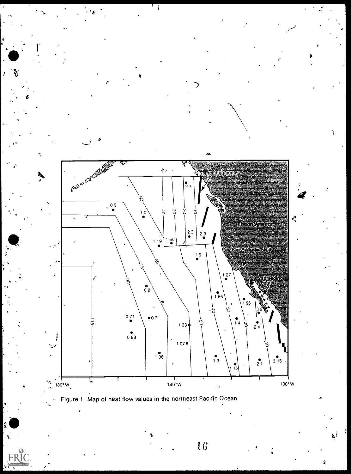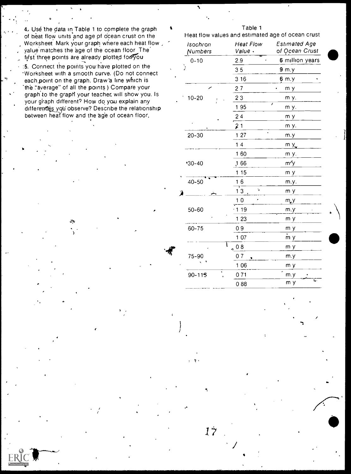4. Use the data in Table 1 to complete the graph  $\overline{a}$  Teat flow values and estimated age of ocean crust<br>of heat flow units and age of ocean crust on the Figure 1 Heat flow values and estimated age of ocean crust of heat flow units and age of ocean crust on the Worksheet Mark your graph where each heat flow , yalue matches the age of the ocean floor The hist three points are already plotted for you

.

by ERIC

:5. Connect the points you have plotted on the 'Worksheet with a smooth curve. (Do not connect each, point on the graph. Draw a line which is 'the "average" of all the points ) Compare your graph to the graph your teacher, will show you. Is your graph different? How do you explain any differences you observe? Describe the relationship between heat flow and the age of ocean floor.

٦

| Isochron<br>Numbers | <b>Heat Flow</b><br>Value . | <b>Estimated Age</b><br>of Ocean Crust |
|---------------------|-----------------------------|----------------------------------------|
| $0 - 10$            | 2.9                         | 6 million years                        |
| ĭ                   | 35                          | 9 m.y                                  |
|                     | 316                         | 6 m.y                                  |
|                     | 27                          | m y                                    |
| $10 - 20$           | 23                          | m y.                                   |
|                     | 195                         | ı<br>m y.                              |
|                     | 24                          | m y                                    |
|                     | 21                          | m y.                                   |
| $20 - 30$           | 127                         | m.y                                    |
|                     | 14                          | m y                                    |
|                     | 160                         | m y.                                   |
| $'30-40$            | 166                         | m'y                                    |
|                     | 115                         | m y                                    |
| $40 - 50$           | 16                          | m.y.                                   |
|                     | ۰,<br>13                    | m y                                    |
|                     | 10                          | m, y                                   |
| 50-60               | 1 19                        | m.y                                    |
|                     | 1 23                        | m y                                    |
| 60-75               | 09                          | m y                                    |
|                     | 1 0 7                       | m y                                    |
|                     | $_{\odot}$ 0 8              | m y                                    |
| 75-90               | 07                          | m.y                                    |
|                     | 1 0 6                       | m y                                    |
| $90 - 115$          | 071                         | m.y                                    |
|                     | 088                         | Ţ.<br>m y                              |
|                     |                             |                                        |

 $1\dot{7}$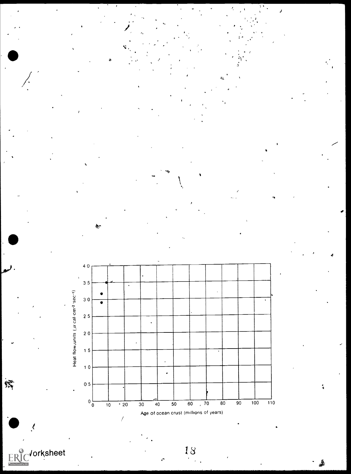

 $\frac{5}{2}$